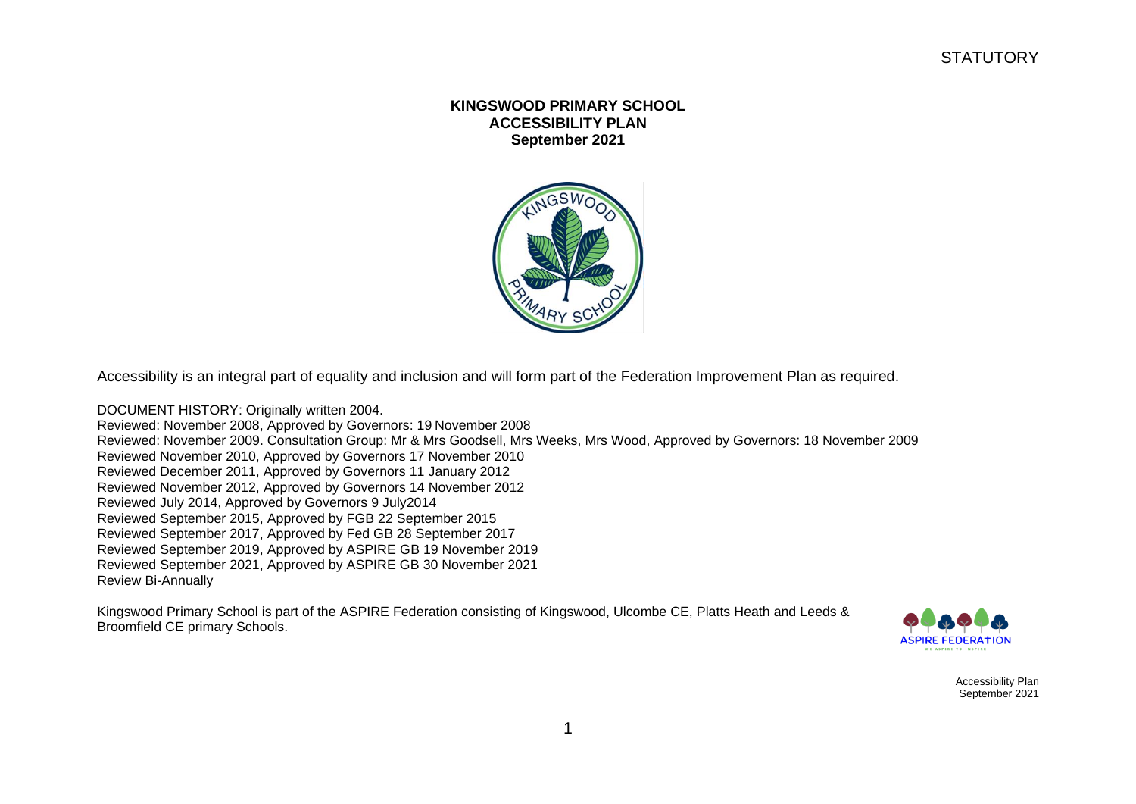## **KINGSWOOD PRIMARY SCHOOL ACCESSIBILITY PLAN September 2021**



Accessibility is an integral part of equality and inclusion and will form part of the Federation Improvement Plan as required.

DOCUMENT HISTORY: Originally written 2004. Reviewed: November 2008, Approved by Governors: 19 November 2008 Reviewed: November 2009. Consultation Group: Mr & Mrs Goodsell, Mrs Weeks, Mrs Wood, Approved by Governors: 18 November 2009 Reviewed November 2010, Approved by Governors 17 November 2010 Reviewed December 2011, Approved by Governors 11 January 2012 Reviewed November 2012, Approved by Governors 14 November 2012 Reviewed July 2014, Approved by Governors 9 July2014 Reviewed September 2015, Approved by FGB 22 September 2015 Reviewed September 2017, Approved by Fed GB 28 September 2017 Reviewed September 2019, Approved by ASPIRE GB 19 November 2019 Reviewed September 2021, Approved by ASPIRE GB 30 November 2021 Review Bi-Annually

Kingswood Primary School is part of the ASPIRE Federation consisting of Kingswood, Ulcombe CE, Platts Heath and Leeds & Broomfield CE primary Schools.



Accessibility Plan September 2021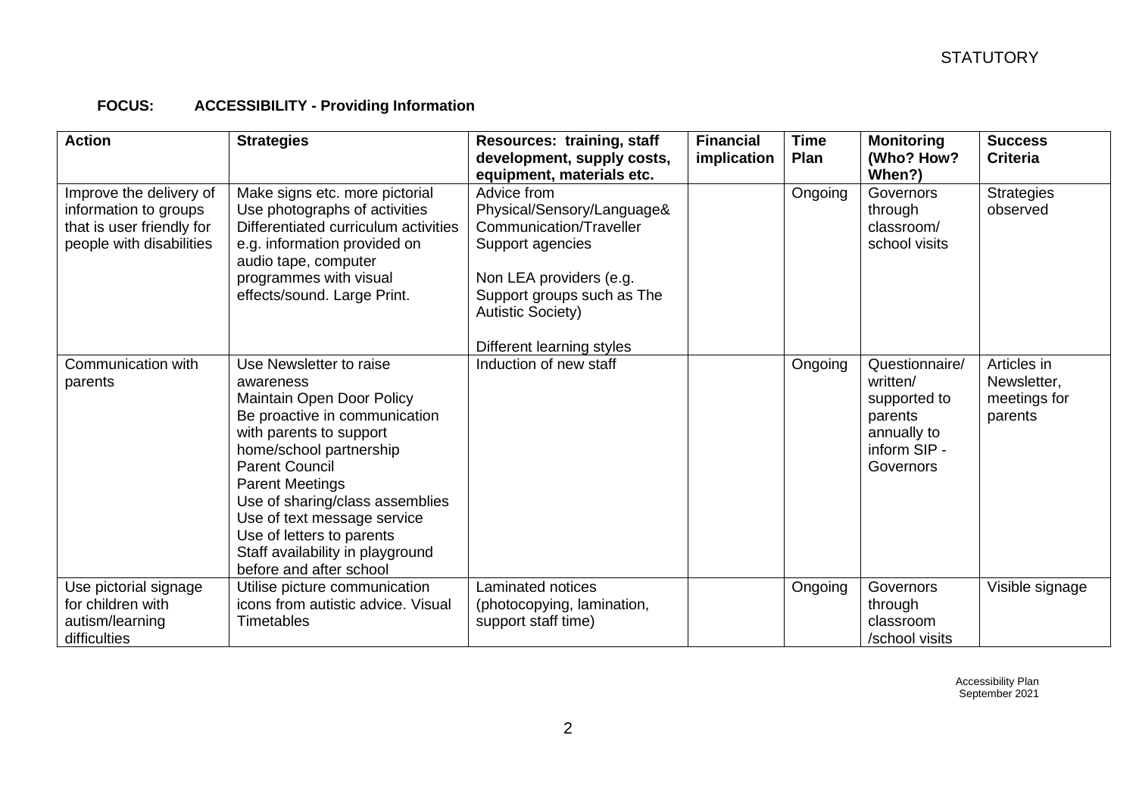## **FOCUS: ACCESSIBILITY - Providing Information**

| <b>Action</b>                                                                                             | <b>Strategies</b>                                                                                                                                                                                                                                                                                                                                                         | Resources: training, staff<br>development, supply costs,<br>equipment, materials etc.                                                                                                                      | <b>Financial</b><br>implication | <b>Time</b><br>Plan | <b>Monitoring</b><br>(Who? How?<br>When?)                                                         | <b>Success</b><br><b>Criteria</b>                     |
|-----------------------------------------------------------------------------------------------------------|---------------------------------------------------------------------------------------------------------------------------------------------------------------------------------------------------------------------------------------------------------------------------------------------------------------------------------------------------------------------------|------------------------------------------------------------------------------------------------------------------------------------------------------------------------------------------------------------|---------------------------------|---------------------|---------------------------------------------------------------------------------------------------|-------------------------------------------------------|
| Improve the delivery of<br>information to groups<br>that is user friendly for<br>people with disabilities | Make signs etc. more pictorial<br>Use photographs of activities<br>Differentiated curriculum activities<br>e.g. information provided on<br>audio tape, computer<br>programmes with visual<br>effects/sound. Large Print.                                                                                                                                                  | Advice from<br>Physical/Sensory/Language&<br>Communication/Traveller<br>Support agencies<br>Non LEA providers (e.g.<br>Support groups such as The<br><b>Autistic Society)</b><br>Different learning styles |                                 | Ongoing             | Governors<br>through<br>classroom/<br>school visits                                               | <b>Strategies</b><br>observed                         |
| Communication with<br>parents                                                                             | Use Newsletter to raise<br>awareness<br>Maintain Open Door Policy<br>Be proactive in communication<br>with parents to support<br>home/school partnership<br><b>Parent Council</b><br><b>Parent Meetings</b><br>Use of sharing/class assemblies<br>Use of text message service<br>Use of letters to parents<br>Staff availability in playground<br>before and after school | Induction of new staff                                                                                                                                                                                     |                                 | Ongoing             | Questionnaire/<br>written/<br>supported to<br>parents<br>annually to<br>inform SIP -<br>Governors | Articles in<br>Newsletter,<br>meetings for<br>parents |
| Use pictorial signage<br>for children with<br>autism/learning<br>difficulties                             | Utilise picture communication<br>icons from autistic advice. Visual<br><b>Timetables</b>                                                                                                                                                                                                                                                                                  | Laminated notices<br>(photocopying, lamination,<br>support staff time)                                                                                                                                     |                                 | Ongoing             | Governors<br>through<br>classroom<br>/school visits                                               | Visible signage                                       |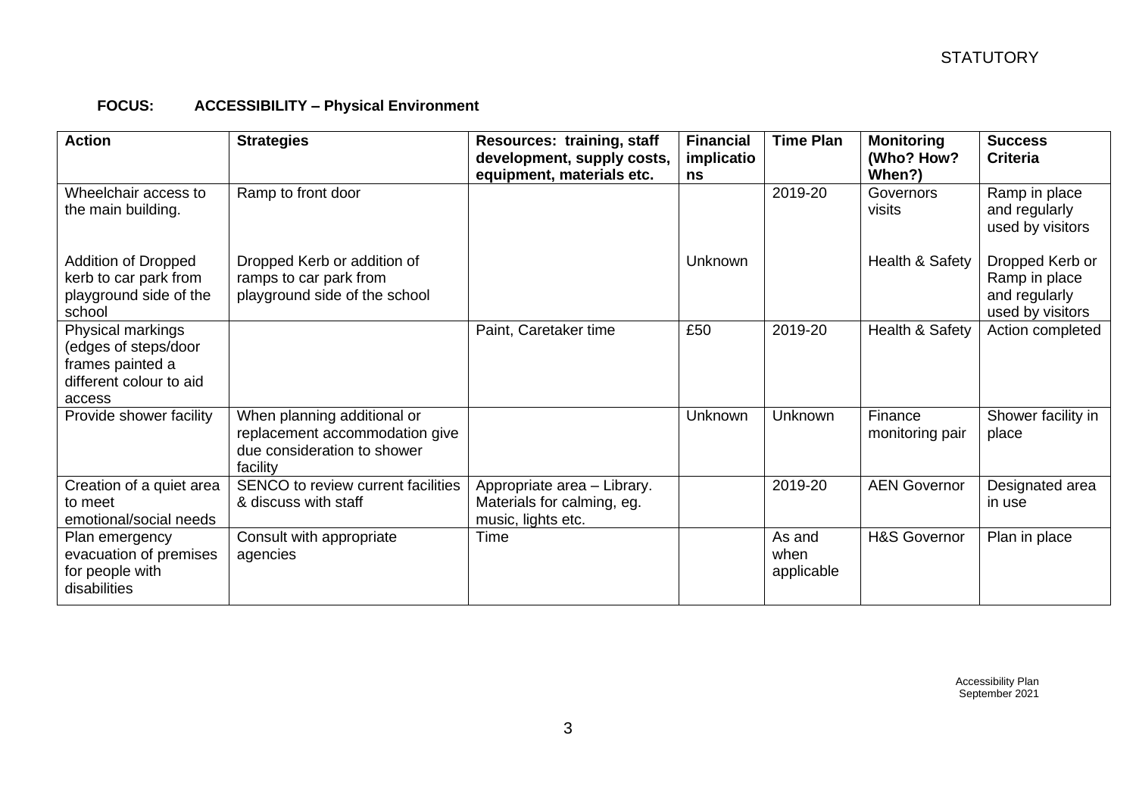## **FOCUS: ACCESSIBILITY – Physical Environment**

| <b>Action</b>                                                                                      | <b>Strategies</b>                                                                                        | Resources: training, staff<br>development, supply costs,<br>equipment, materials etc. | <b>Financial</b><br>implicatio<br>ns | <b>Time Plan</b>             | <b>Monitoring</b><br>(Who? How?<br>When?) | <b>Success</b><br><b>Criteria</b>                                     |
|----------------------------------------------------------------------------------------------------|----------------------------------------------------------------------------------------------------------|---------------------------------------------------------------------------------------|--------------------------------------|------------------------------|-------------------------------------------|-----------------------------------------------------------------------|
| Wheelchair access to<br>the main building.                                                         | Ramp to front door                                                                                       |                                                                                       |                                      | 2019-20                      | Governors<br>visits                       | Ramp in place<br>and regularly<br>used by visitors                    |
| <b>Addition of Dropped</b><br>kerb to car park from<br>playground side of the<br>school            | Dropped Kerb or addition of<br>ramps to car park from<br>playground side of the school                   |                                                                                       | Unknown                              |                              | Health & Safety                           | Dropped Kerb or<br>Ramp in place<br>and regularly<br>used by visitors |
| Physical markings<br>(edges of steps/door<br>frames painted a<br>different colour to aid<br>access |                                                                                                          | Paint, Caretaker time                                                                 | £50                                  | 2019-20                      | Health & Safety                           | Action completed                                                      |
| Provide shower facility                                                                            | When planning additional or<br>replacement accommodation give<br>due consideration to shower<br>facility |                                                                                       | <b>Unknown</b>                       | <b>Unknown</b>               | Finance<br>monitoring pair                | Shower facility in<br>place                                           |
| Creation of a quiet area<br>to meet<br>emotional/social needs                                      | SENCO to review current facilities<br>& discuss with staff                                               | Appropriate area - Library.<br>Materials for calming, eg.<br>music, lights etc.       |                                      | 2019-20                      | <b>AEN Governor</b>                       | Designated area<br>in use                                             |
| Plan emergency<br>evacuation of premises<br>for people with<br>disabilities                        | Consult with appropriate<br>agencies                                                                     | Time                                                                                  |                                      | As and<br>when<br>applicable | <b>H&amp;S Governor</b>                   | Plan in place                                                         |